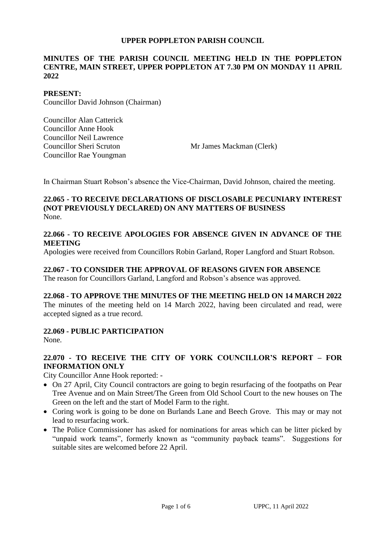#### **UPPER POPPLETON PARISH COUNCIL**

### **MINUTES OF THE PARISH COUNCIL MEETING HELD IN THE POPPLETON CENTRE, MAIN STREET, UPPER POPPLETON AT 7.30 PM ON MONDAY 11 APRIL 2022**

#### **PRESENT:**

Councillor David Johnson (Chairman)

Councillor Alan Catterick Councillor Anne Hook Councillor Neil Lawrence Councillor Sheri Scruton Councillor Rae Youngman

Mr James Mackman (Clerk)

In Chairman Stuart Robson's absence the Vice-Chairman, David Johnson, chaired the meeting.

## **22.065 - TO RECEIVE DECLARATIONS OF DISCLOSABLE PECUNIARY INTEREST (NOT PREVIOUSLY DECLARED) ON ANY MATTERS OF BUSINESS** None.

#### **22.066 - TO RECEIVE APOLOGIES FOR ABSENCE GIVEN IN ADVANCE OF THE MEETING**

Apologies were received from Councillors Robin Garland, Roper Langford and Stuart Robson.

## **22.067 - TO CONSIDER THE APPROVAL OF REASONS GIVEN FOR ABSENCE**

The reason for Councillors Garland, Langford and Robson's absence was approved.

#### **22.068 - TO APPROVE THE MINUTES OF THE MEETING HELD ON 14 MARCH 2022**

The minutes of the meeting held on 14 March 2022, having been circulated and read, were accepted signed as a true record.

#### **22.069 - PUBLIC PARTICIPATION**

None.

## **22.070 - TO RECEIVE THE CITY OF YORK COUNCILLOR'S REPORT – FOR INFORMATION ONLY**

City Councillor Anne Hook reported: -

- On 27 April, City Council contractors are going to begin resurfacing of the footpaths on Pear Tree Avenue and on Main Street/The Green from Old School Court to the new houses on The Green on the left and the start of Model Farm to the right.
- Coring work is going to be done on Burlands Lane and Beech Grove. This may or may not lead to resurfacing work.
- The Police Commissioner has asked for nominations for areas which can be litter picked by "unpaid work teams", formerly known as "community payback teams". Suggestions for suitable sites are welcomed before 22 April.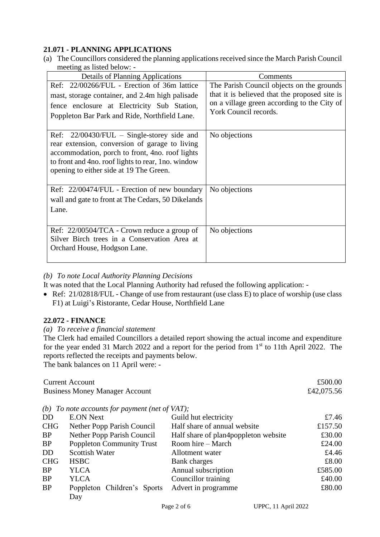## **21.071 - PLANNING APPLICATIONS**

(a) The Councillors considered the planning applications received since the March Parish Council meeting as listed below: -

| <b>Details of Planning Applications</b>                                                               | Comments                                      |
|-------------------------------------------------------------------------------------------------------|-----------------------------------------------|
| Ref: 22/00266/FUL - Erection of 36m lattice                                                           | The Parish Council objects on the grounds     |
| mast, storage container, and 2.4m high palisade                                                       | that it is believed that the proposed site is |
| fence enclosure at Electricity Sub Station,                                                           | on a village green according to the City of   |
| Poppleton Bar Park and Ride, Northfield Lane.                                                         | York Council records.                         |
|                                                                                                       |                                               |
| Ref: $22/00430/FUL$ – Single-storey side and                                                          | No objections                                 |
| rear extension, conversion of garage to living                                                        |                                               |
| accommodation, porch to front, 4no. roof lights<br>to front and 4no. roof lights to rear, 1no. window |                                               |
| opening to either side at 19 The Green.                                                               |                                               |
|                                                                                                       |                                               |
| Ref: 22/00474/FUL - Erection of new boundary                                                          | No objections                                 |
| wall and gate to front at The Cedars, 50 Dikelands                                                    |                                               |
| Lane.                                                                                                 |                                               |
|                                                                                                       |                                               |
| Ref: 22/00504/TCA - Crown reduce a group of                                                           | No objections                                 |
| Silver Birch trees in a Conservation Area at                                                          |                                               |
| Orchard House, Hodgson Lane.                                                                          |                                               |
|                                                                                                       |                                               |

#### *(b) To note Local Authority Planning Decisions*

It was noted that the Local Planning Authority had refused the following application: -

• Ref: 21/02818/FUL - Change of use from restaurant (use class E) to place of worship (use class F1) at Luigi's Ristorante, Cedar House, Northfield Lane

## **22.072 - FINANCE**

#### *(a) To receive a financial statement*

The Clerk had emailed Councillors a detailed report showing the actual income and expenditure for the year ended 31 March 2022 and a report for the period from  $1<sup>st</sup>$  to 11th April 2022. The reports reflected the receipts and payments below.

The bank balances on 11 April were: -

|            | <b>Current Account</b>                     |                                      | £500.00    |
|------------|--------------------------------------------|--------------------------------------|------------|
|            | <b>Business Money Manager Account</b>      |                                      | £42,075.56 |
|            |                                            |                                      |            |
| (b)        | To note accounts for payment (net of VAT); |                                      |            |
| <b>DD</b>  | <b>E.ON Next</b>                           | Guild hut electricity                | £7.46      |
| <b>CHG</b> | Nether Popp Parish Council                 | Half share of annual website         | £157.50    |
| <b>BP</b>  | Nether Popp Parish Council                 | Half share of plan4poppleton website | £30.00     |
| <b>BP</b>  | <b>Poppleton Community Trust</b>           | Room hire – March                    | £24.00     |
| <b>DD</b>  | <b>Scottish Water</b>                      | Allotment water                      | £4.46      |
| <b>CHG</b> | <b>HSBC</b>                                | Bank charges                         | £8.00      |
| <b>BP</b>  | YLCA                                       | Annual subscription                  | £585.00    |
| <b>BP</b>  | <b>YLCA</b>                                | Councillor training                  | £40.00     |
| <b>BP</b>  | Poppleton Children's Sports                | Advert in programme                  | £80.00     |
|            | Day                                        |                                      |            |
|            |                                            |                                      |            |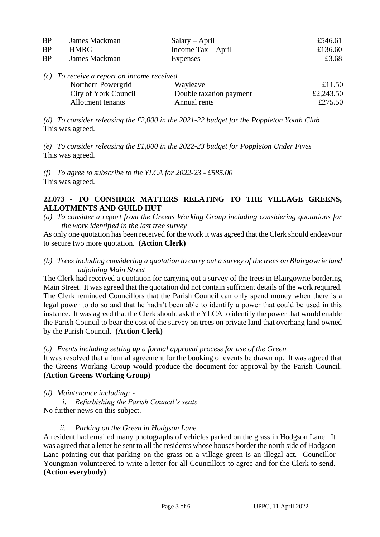| <b>BP</b> | James Mackman                                | $Salary - April$                   | £546.61   |
|-----------|----------------------------------------------|------------------------------------|-----------|
| <b>BP</b> | <b>HMRC</b>                                  | Income $\text{Tax} - \text{April}$ | £136.60   |
| <b>BP</b> | James Mackman                                | <b>Expenses</b>                    | £3.68     |
|           | $(c)$ To receive a report on income received |                                    |           |
|           | Northern Powergrid                           | Wayleave                           | £11.50    |
|           | City of York Council                         | Double taxation payment            | £2,243.50 |
|           | Allotment tenants                            | Annual rents                       | £275.50   |

*(d) To consider releasing the £2,000 in the 2021-22 budget for the Poppleton Youth Club* This was agreed.

*(e) To consider releasing the £1,000 in the 2022-23 budget for Poppleton Under Fives*  This was agreed.

*(f) To agree to subscribe to the YLCA for 2022-23 - £585.00*  This was agreed.

## **22.073 - TO CONSIDER MATTERS RELATING TO THE VILLAGE GREENS, ALLOTMENTS AND GUILD HUT**

*(a) To consider a report from the Greens Working Group including considering quotations for the work identified in the last tree survey*

As only one quotation has been received for the work it was agreed that the Clerk should endeavour to secure two more quotation. **(Action Clerk)**

*(b) Trees including considering a quotation to carry out a survey of the trees on Blairgowrie land adjoining Main Street*

The Clerk had received a quotation for carrying out a survey of the trees in Blairgowrie bordering Main Street. It was agreed that the quotation did not contain sufficient details of the work required. The Clerk reminded Councillors that the Parish Council can only spend money when there is a legal power to do so and that he hadn't been able to identify a power that could be used in this instance. It was agreed that the Clerk should ask the YLCA to identify the power that would enable the Parish Council to bear the cost of the survey on trees on private land that overhang land owned by the Parish Council. **(Action Clerk)**

## *(c) Events including setting up a formal approval process for use of the Green*

It was resolved that a formal agreement for the booking of events be drawn up. It was agreed that the Greens Working Group would produce the document for approval by the Parish Council. **(Action Greens Working Group)**

*(d) Maintenance including: -*

*i. Refurbishing the Parish Council's seats*

No further news on this subject.

## *ii. Parking on the Green in Hodgson Lane*

A resident had emailed many photographs of vehicles parked on the grass in Hodgson Lane. It was agreed that a letter be sent to all the residents whose houses border the north side of Hodgson Lane pointing out that parking on the grass on a village green is an illegal act. Councillor Youngman volunteered to write a letter for all Councillors to agree and for the Clerk to send. **(Action everybody)**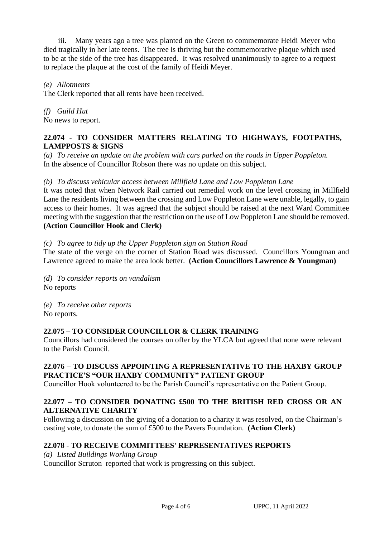iii. Many years ago a tree was planted on the Green to commemorate Heidi Meyer who died tragically in her late teens. The tree is thriving but the commemorative plaque which used to be at the side of the tree has disappeared. It was resolved unanimously to agree to a request to replace the plaque at the cost of the family of Heidi Meyer.

*(e) Allotments* 

The Clerk reported that all rents have been received.

*(f) Guild Hut* No news to report.

### **22.074 - TO CONSIDER MATTERS RELATING TO HIGHWAYS, FOOTPATHS, LAMPPOSTS & SIGNS**

*(a) To receive an update on the problem with cars parked on the roads in Upper Poppleton.* In the absence of Councillor Robson there was no update on this subject.

### *(b) To discuss vehicular access between Millfield Lane and Low Poppleton Lane*

It was noted that when Network Rail carried out remedial work on the level crossing in Millfield Lane the residents living between the crossing and Low Poppleton Lane were unable, legally, to gain access to their homes. It was agreed that the subject should be raised at the next Ward Committee meeting with the suggestion that the restriction on the use of Low Poppleton Lane should be removed. **(Action Councillor Hook and Clerk)** 

#### *(c) To agree to tidy up the Upper Poppleton sign on Station Road*

The state of the verge on the corner of Station Road was discussed. Councillors Youngman and Lawrence agreed to make the area look better. **(Action Councillors Lawrence & Youngman)**

*(d) To consider reports on vandalism* No reports

*(e) To receive other reports* No reports.

#### **22.075 – TO CONSIDER COUNCILLOR & CLERK TRAINING**

Councillors had considered the courses on offer by the YLCA but agreed that none were relevant to the Parish Council.

## **22.076 – TO DISCUSS APPOINTING A REPRESENTATIVE TO THE HAXBY GROUP PRACTICE'S "OUR HAXBY COMMUNITY" PATIENT GROUP**

Councillor Hook volunteered to be the Parish Council's representative on the Patient Group.

## **22.077 – TO CONSIDER DONATING £500 TO THE BRITISH RED CROSS OR AN ALTERNATIVE CHARITY**

Following a discussion on the giving of a donation to a charity it was resolved, on the Chairman's casting vote, to donate the sum of £500 to the Pavers Foundation. **(Action Clerk)** 

## **22.078 - TO RECEIVE COMMITTEES' REPRESENTATIVES REPORTS**

*(a) Listed Buildings Working Group* Councillor Scruton reported that work is progressing on this subject.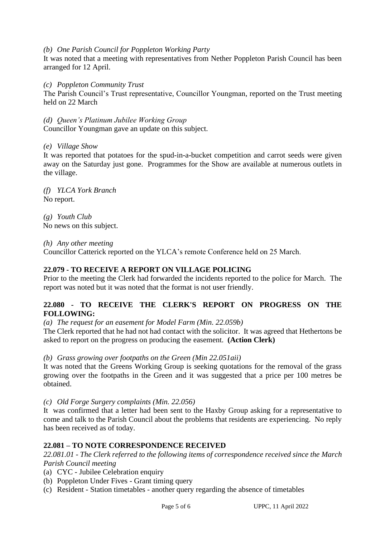#### *(b) One Parish Council for Poppleton Working Party*

It was noted that a meeting with representatives from Nether Poppleton Parish Council has been arranged for 12 April.

#### *(c) Poppleton Community Trust*

The Parish Council's Trust representative, Councillor Youngman, reported on the Trust meeting held on 22 March

*(d) Queen's Platinum Jubilee Working Group*

Councillor Youngman gave an update on this subject.

### *(e) Village Show*

It was reported that potatoes for the spud-in-a-bucket competition and carrot seeds were given away on the Saturday just gone. Programmes for the Show are available at numerous outlets in the village.

*(f) YLCA York Branch* No report.

*(g) Youth Club* No news on this subject.

*(h) Any other meeting*

Councillor Catterick reported on the YLCA's remote Conference held on 25 March.

## **22.079 - TO RECEIVE A REPORT ON VILLAGE POLICING**

Prior to the meeting the Clerk had forwarded the incidents reported to the police for March. The report was noted but it was noted that the format is not user friendly.

### **22.080 - TO RECEIVE THE CLERK'S REPORT ON PROGRESS ON THE FOLLOWING:**

*(a) The request for an easement for Model Farm (Min. 22.059b)*

The Clerk reported that he had not had contact with the solicitor. It was agreed that Hethertons be asked to report on the progress on producing the easement. **(Action Clerk)**

*(b) Grass growing over footpaths on the Green (Min 22.051aii)*

It was noted that the Greens Working Group is seeking quotations for the removal of the grass growing over the footpaths in the Green and it was suggested that a price per 100 metres be obtained.

*(c) Old Forge Surgery complaints (Min. 22.056)* 

It was confirmed that a letter had been sent to the Haxby Group asking for a representative to come and talk to the Parish Council about the problems that residents are experiencing. No reply has been received as of today.

## **22.081 – TO NOTE CORRESPONDENCE RECEIVED**

*22.081.01 - The Clerk referred to the following items of correspondence received since the March Parish Council meeting*

- (a) CYC Jubilee Celebration enquiry
- (b) Poppleton Under Fives Grant timing query
- (c) Resident Station timetables another query regarding the absence of timetables